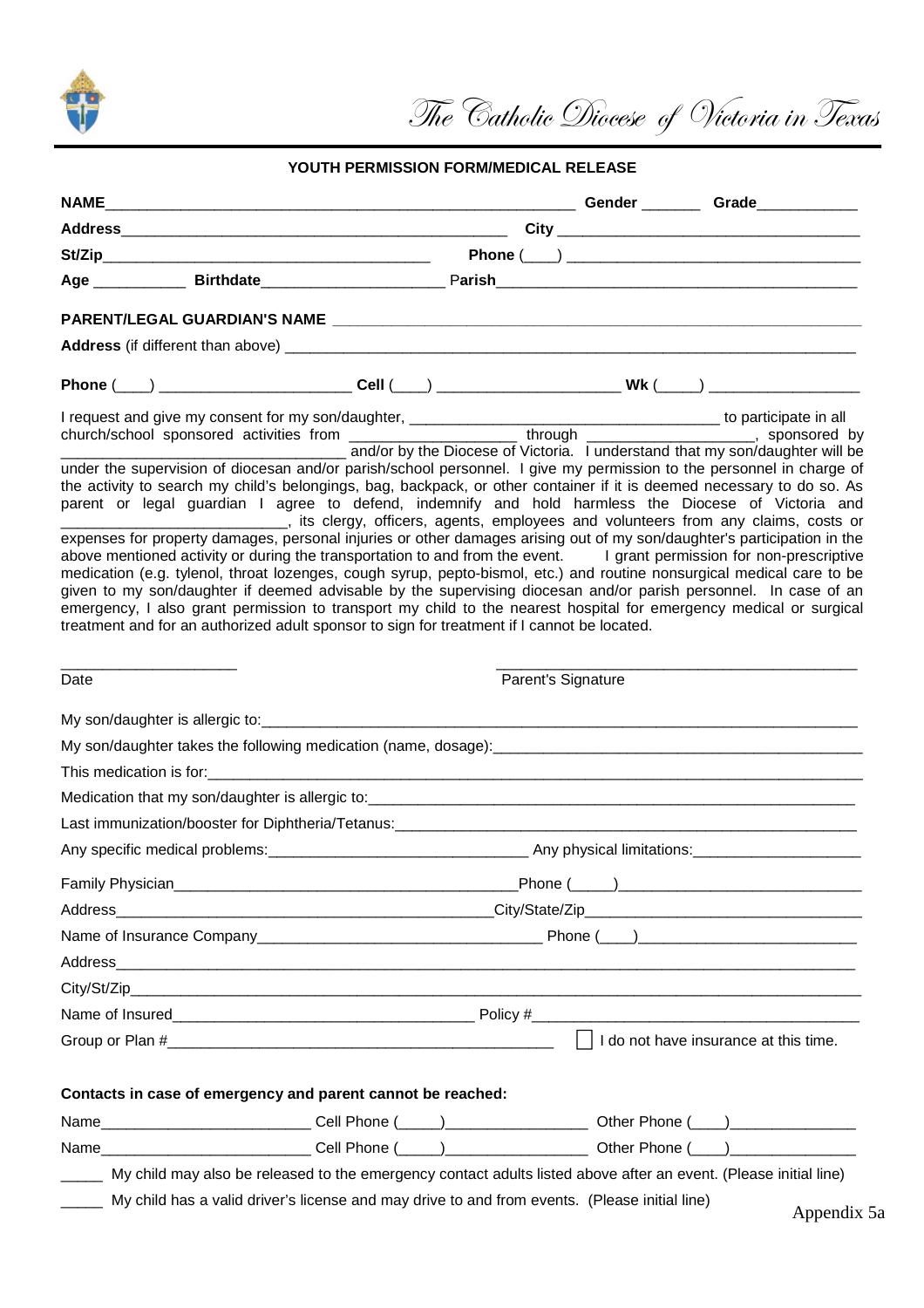

The Catholic Diocese of Victoria in Texas

## **YOUTH PERMISSION FORM/MEDICAL RELEASE**

|      |                                                                                             |                    | Phone (___) ____________________________Cell (____) ____________________________Wk (____) ___________________                                                                                                                                                                                                                                                                                                                                                                                                                                                                                                      |  |  |  |
|------|---------------------------------------------------------------------------------------------|--------------------|--------------------------------------------------------------------------------------------------------------------------------------------------------------------------------------------------------------------------------------------------------------------------------------------------------------------------------------------------------------------------------------------------------------------------------------------------------------------------------------------------------------------------------------------------------------------------------------------------------------------|--|--|--|
|      |                                                                                             |                    | and/or by the Diocese of Victoria. I understand that my son/daughter will be                                                                                                                                                                                                                                                                                                                                                                                                                                                                                                                                       |  |  |  |
|      |                                                                                             |                    | under the supervision of diocesan and/or parish/school personnel. I give my permission to the personnel in charge of<br>the activity to search my child's belongings, bag, backpack, or other container if it is deemed necessary to do so. As<br>parent or legal guardian I agree to defend, indemnify and hold harmless the Diocese of Victoria and<br>___________________________________, its clergy, officers, agents, employees and volunteers from any claims, costs or                                                                                                                                     |  |  |  |
|      | treatment and for an authorized adult sponsor to sign for treatment if I cannot be located. |                    | expenses for property damages, personal injuries or other damages arising out of my son/daughter's participation in the<br>above mentioned activity or during the transportation to and from the event. I grant permission for non-prescriptive<br>medication (e.g. tylenol, throat lozenges, cough syrup, pepto-bismol, etc.) and routine nonsurgical medical care to be<br>given to my son/daughter if deemed advisable by the supervising diocesan and/or parish personnel. In case of an<br>emergency, I also grant permission to transport my child to the nearest hospital for emergency medical or surgical |  |  |  |
| Date |                                                                                             | Parent's Signature |                                                                                                                                                                                                                                                                                                                                                                                                                                                                                                                                                                                                                    |  |  |  |
|      |                                                                                             |                    |                                                                                                                                                                                                                                                                                                                                                                                                                                                                                                                                                                                                                    |  |  |  |
|      |                                                                                             |                    |                                                                                                                                                                                                                                                                                                                                                                                                                                                                                                                                                                                                                    |  |  |  |
|      |                                                                                             |                    |                                                                                                                                                                                                                                                                                                                                                                                                                                                                                                                                                                                                                    |  |  |  |
|      |                                                                                             |                    |                                                                                                                                                                                                                                                                                                                                                                                                                                                                                                                                                                                                                    |  |  |  |
|      |                                                                                             |                    |                                                                                                                                                                                                                                                                                                                                                                                                                                                                                                                                                                                                                    |  |  |  |
|      |                                                                                             |                    |                                                                                                                                                                                                                                                                                                                                                                                                                                                                                                                                                                                                                    |  |  |  |
|      |                                                                                             |                    |                                                                                                                                                                                                                                                                                                                                                                                                                                                                                                                                                                                                                    |  |  |  |
|      |                                                                                             |                    |                                                                                                                                                                                                                                                                                                                                                                                                                                                                                                                                                                                                                    |  |  |  |
|      |                                                                                             |                    | Family Physician <b>Example 2018</b> Phone (Campbell 2018) Phone (Campbell 2018) Phone (Campbell 2018) Phone (Campbell 2018) 2019 12:30 Phone (Campbell 2018) 2019 12:30 Phone (Campbell 2018) 2019 12:30 Phone (Campbell 2018) 201                                                                                                                                                                                                                                                                                                                                                                                |  |  |  |
|      |                                                                                             |                    |                                                                                                                                                                                                                                                                                                                                                                                                                                                                                                                                                                                                                    |  |  |  |
|      |                                                                                             |                    |                                                                                                                                                                                                                                                                                                                                                                                                                                                                                                                                                                                                                    |  |  |  |
|      |                                                                                             |                    |                                                                                                                                                                                                                                                                                                                                                                                                                                                                                                                                                                                                                    |  |  |  |
|      |                                                                                             |                    |                                                                                                                                                                                                                                                                                                                                                                                                                                                                                                                                                                                                                    |  |  |  |
|      |                                                                                             |                    | I do not have insurance at this time.                                                                                                                                                                                                                                                                                                                                                                                                                                                                                                                                                                              |  |  |  |
|      |                                                                                             |                    |                                                                                                                                                                                                                                                                                                                                                                                                                                                                                                                                                                                                                    |  |  |  |
|      | Contacts in case of emergency and parent cannot be reached:                                 |                    |                                                                                                                                                                                                                                                                                                                                                                                                                                                                                                                                                                                                                    |  |  |  |
|      |                                                                                             |                    |                                                                                                                                                                                                                                                                                                                                                                                                                                                                                                                                                                                                                    |  |  |  |